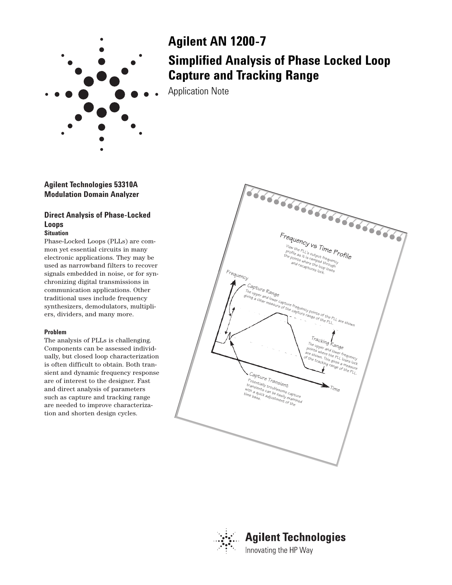

# **Agilent AN 1200-7 Simplified Analysis of Phase Locked Loop Capture and Tracking Range**

Application Note

**Agilent Technologies 53310A Modulation Domain Analyzer**

# **Direct Analysis of Phase-Locked Loops**

# **Situation**

Phase-Locked Loops (PLLs) are common yet essential circuits in many electronic applications. They may be used as narrowband filters to recover signals embedded in noise, or for synchronizing digital transmissions in communication applications. Other traditional uses include frequency synthesizers, demodulators, multipliers, dividers, and many more.

## **Problem**

The analysis of PLLs is challenging. Components can be assessed individually, but closed loop characterization is often difficult to obtain. Both transient and dynamic frequency response are of interest to the designer. Fast and direct analysis of parameters such as capture and tracking range are needed to improve characterization and shorten design cycles.